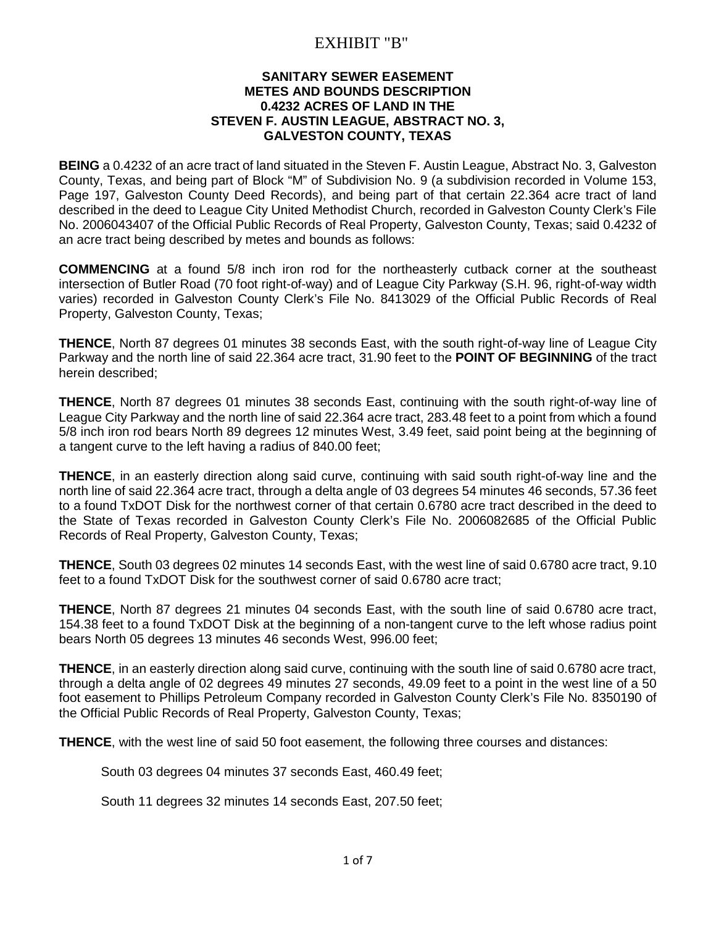## EXHIBIT "B"

## **SANITARY SEWER EASEMENT METES AND BOUNDS DESCRIPTION 0.4232 ACRES OF LAND IN THE STEVEN F. AUSTIN LEAGUE, ABSTRACT NO. 3, GALVESTON COUNTY, TEXAS**

**BEING** a 0.4232 of an acre tract of land situated in the Steven F. Austin League, Abstract No. 3, Galveston County, Texas, and being part of Block "M" of Subdivision No. 9 (a subdivision recorded in Volume 153, Page 197, Galveston County Deed Records), and being part of that certain 22.364 acre tract of land described in the deed to League City United Methodist Church, recorded in Galveston County Clerk's File No. 2006043407 of the Official Public Records of Real Property, Galveston County, Texas; said 0.4232 of an acre tract being described by metes and bounds as follows:

**COMMENCING** at a found 5/8 inch iron rod for the northeasterly cutback corner at the southeast intersection of Butler Road (70 foot right-of-way) and of League City Parkway (S.H. 96, right-of-way width varies) recorded in Galveston County Clerk's File No. 8413029 of the Official Public Records of Real Property, Galveston County, Texas;

**THENCE**, North 87 degrees 01 minutes 38 seconds East, with the south right-of-way line of League City Parkway and the north line of said 22.364 acre tract, 31.90 feet to the **POINT OF BEGINNING** of the tract herein described;

**THENCE**, North 87 degrees 01 minutes 38 seconds East, continuing with the south right-of-way line of League City Parkway and the north line of said 22.364 acre tract, 283.48 feet to a point from which a found 5/8 inch iron rod bears North 89 degrees 12 minutes West, 3.49 feet, said point being at the beginning of a tangent curve to the left having a radius of 840.00 feet;

**THENCE**, in an easterly direction along said curve, continuing with said south right-of-way line and the north line of said 22.364 acre tract, through a delta angle of 03 degrees 54 minutes 46 seconds, 57.36 feet to a found TxDOT Disk for the northwest corner of that certain 0.6780 acre tract described in the deed to the State of Texas recorded in Galveston County Clerk's File No. 2006082685 of the Official Public Records of Real Property, Galveston County, Texas;

**THENCE**, South 03 degrees 02 minutes 14 seconds East, with the west line of said 0.6780 acre tract, 9.10 feet to a found TxDOT Disk for the southwest corner of said 0.6780 acre tract;

**THENCE**, North 87 degrees 21 minutes 04 seconds East, with the south line of said 0.6780 acre tract, 154.38 feet to a found TxDOT Disk at the beginning of a non-tangent curve to the left whose radius point bears North 05 degrees 13 minutes 46 seconds West, 996.00 feet;

**THENCE**, in an easterly direction along said curve, continuing with the south line of said 0.6780 acre tract, through a delta angle of 02 degrees 49 minutes 27 seconds, 49.09 feet to a point in the west line of a 50 foot easement to Phillips Petroleum Company recorded in Galveston County Clerk's File No. 8350190 of the Official Public Records of Real Property, Galveston County, Texas;

**THENCE**, with the west line of said 50 foot easement, the following three courses and distances:

South 03 degrees 04 minutes 37 seconds East, 460.49 feet;

South 11 degrees 32 minutes 14 seconds East, 207.50 feet;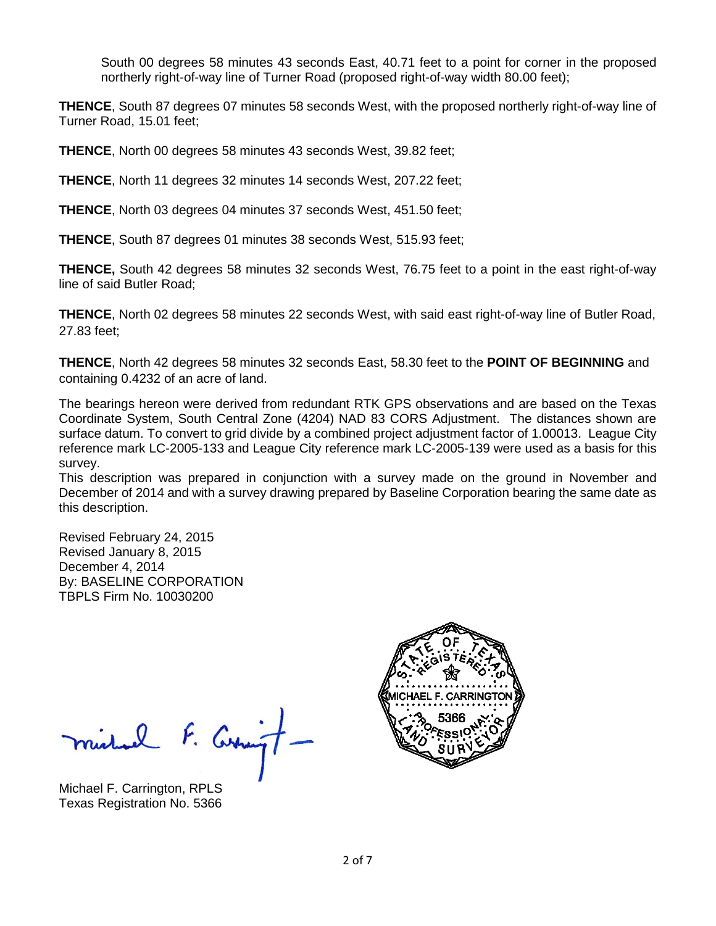South 00 degrees 58 minutes 43 seconds East, 40.71 feet to a point for corner in the proposed northerly right-of-way line of Turner Road (proposed right-of-way width 80.00 feet);

**THENCE**, South 87 degrees 07 minutes 58 seconds West, with the proposed northerly right-of-way line of Turner Road, 15.01 feet;

**THENCE**, North 00 degrees 58 minutes 43 seconds West, 39.82 feet;

**THENCE**, North 11 degrees 32 minutes 14 seconds West, 207.22 feet;

**THENCE**, North 03 degrees 04 minutes 37 seconds West, 451.50 feet;

**THENCE**, South 87 degrees 01 minutes 38 seconds West, 515.93 feet;

**THENCE,** South 42 degrees 58 minutes 32 seconds West, 76.75 feet to a point in the east right-of-way line of said Butler Road;

**THENCE**, North 02 degrees 58 minutes 22 seconds West, with said east right-of-way line of Butler Road, 27.83 feet;

**THENCE**, North 42 degrees 58 minutes 32 seconds East, 58.30 feet to the **POINT OF BEGINNING** and containing 0.4232 of an acre of land.

The bearings hereon were derived from redundant RTK GPS observations and are based on the Texas Coordinate System, South Central Zone (4204) NAD 83 CORS Adjustment. The distances shown are surface datum. To convert to grid divide by a combined project adjustment factor of 1.00013. League City reference mark LC-2005-133 and League City reference mark LC-2005-139 were used as a basis for this survey.

This description was prepared in conjunction with a survey made on the ground in November and December of 2014 and with a survey drawing prepared by Baseline Corporation bearing the same date as this description.

Revised February 24, 2015 Revised January 8, 2015 December 4, 2014 By: BASELINE CORPORATION TBPLS Firm No. 10030200

ruel F. Curringt-

Michael F. Carrington, RPLS Texas Registration No. 5366

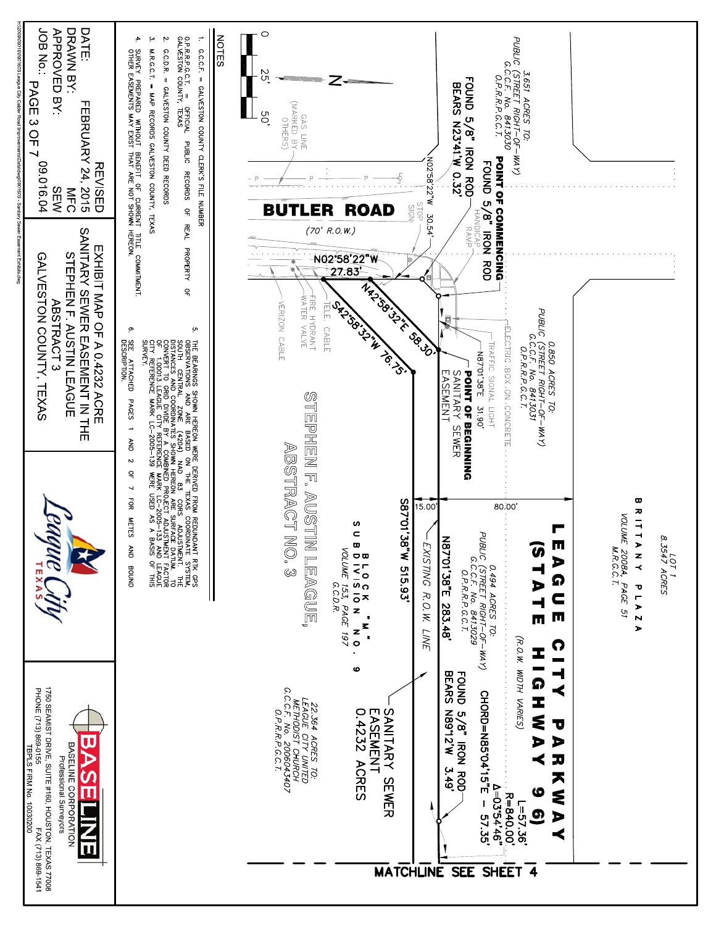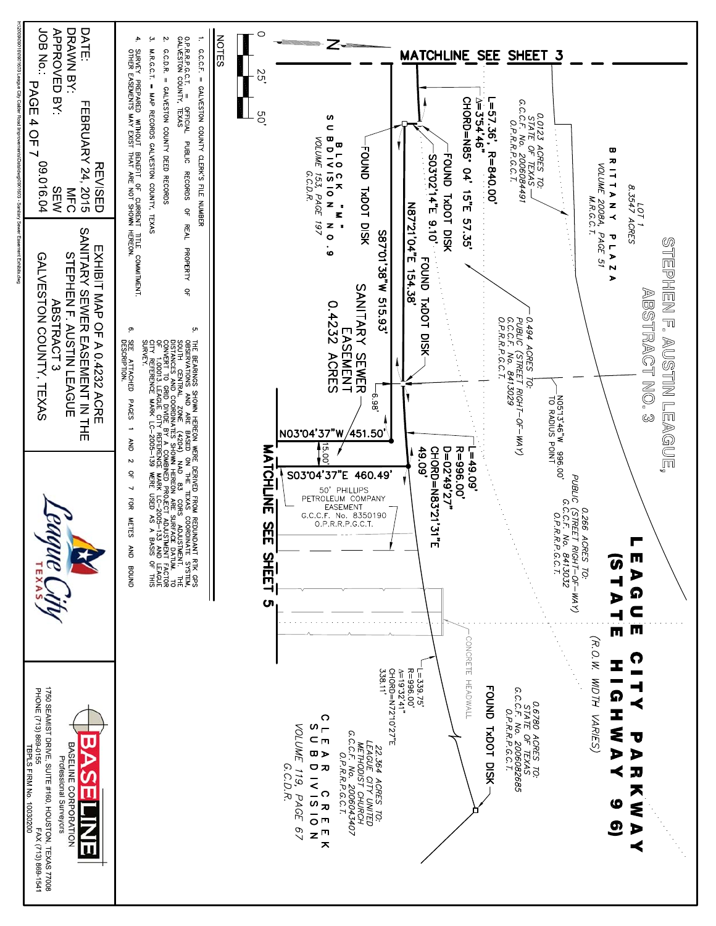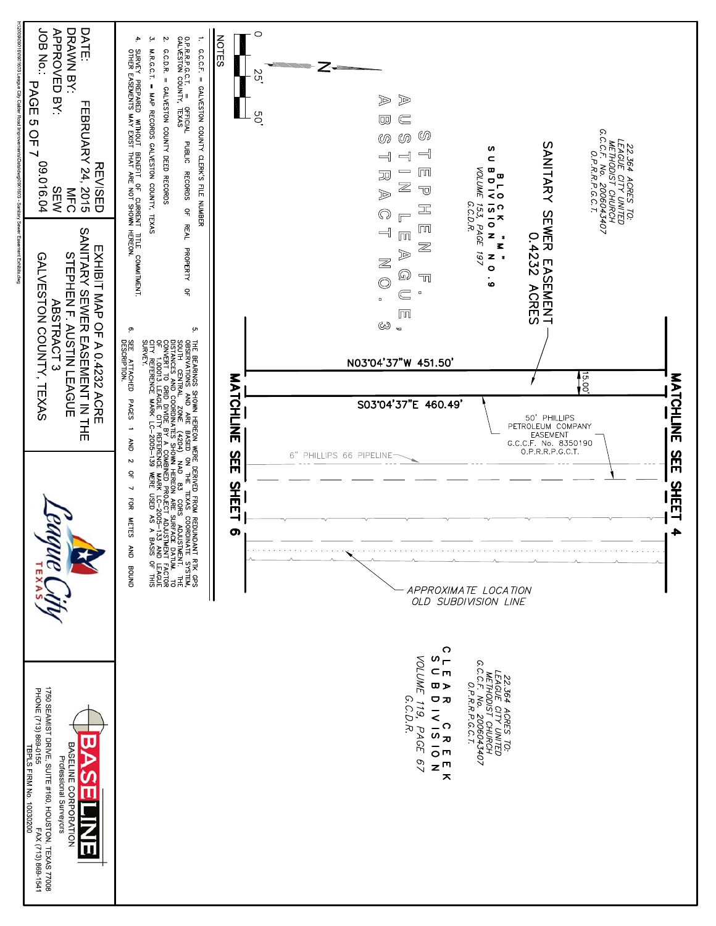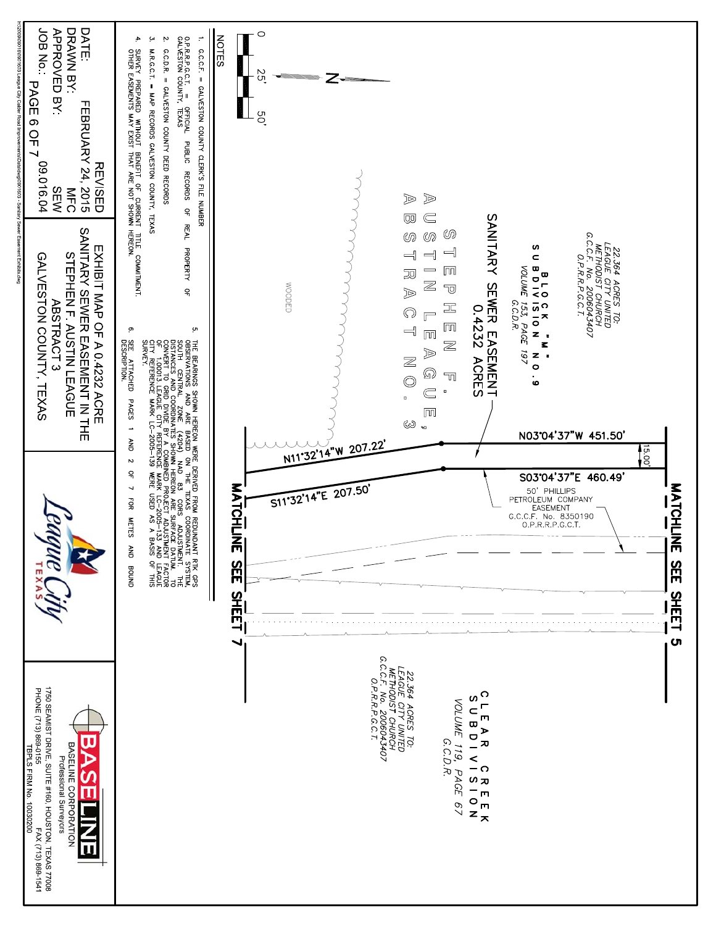